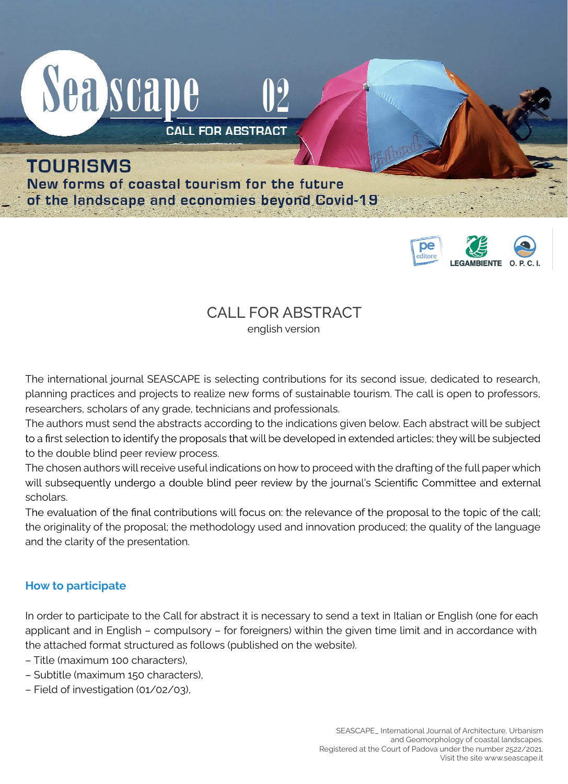



# CALL FOR ABSTRACT

english version

The international journal SEASCAPE is selecting contributions for its second issue, dedicated to research, planning practices and projects to realize new forms of sustainable tourism. The call is open to professors, researchers, scholars of any grade, technicians and professionals.

The authors must send the abstracts according to the indications given below. Each abstract will be subject to a first selection to identify the proposals that will be developed in extended articles; they will be subjected to the double blind peer review process.

The chosen authors will receive useful indications on how to proceed with the drafting of the full paper which will subsequently undergo a double blind peer review by the journal's Scientific Committee and external scholars.

The evaluation of the final contributions will focus on: the relevance of the proposal to the topic of the call; the originality of the proposal; the methodology used and innovation produced; the quality of the language and the clarity of the presentation.

# **How to participate**

In order to participate to the Call for abstract it is necessary to send a text in Italian or English (one for each applicant and in English – compulsory – for foreigners) within the given time limit and in accordance with the attached format structured as follows (published on the website).

- Title (maximum 100 characters),
- Subtitle (maximum 150 characters),
- Field of investigation (01/02/03),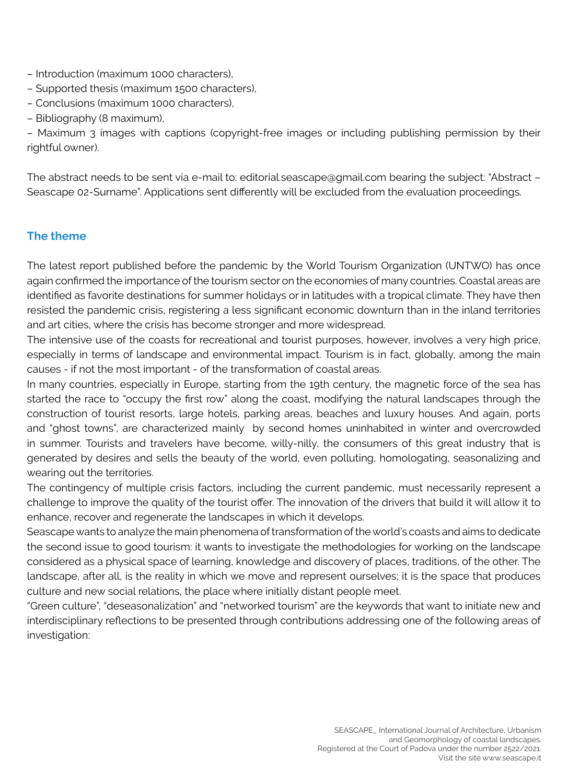- Introduction (maximum 1000 characters),
- Supported thesis (maximum 1500 characters),
- Conclusions (maximum 1000 characters),
- Bibliography (8 maximum),

– Maximum 3 images with captions (copyright-free images or including publishing permission by their rightful owner).

The abstract needs to be sent via e-mail to: editorial.seascape@gmail.com bearing the subject: "Abstract – Seascape 02-Surname". Applications sent differently will be excluded from the evaluation proceedings.

# **The theme**

The latest report published before the pandemic by the World Tourism Organization (UNTWO) has once again confirmed the importance of the tourism sector on the economies of many countries. Coastal areas are identified as favorite destinations for summer holidays or in latitudes with a tropical climate. They have then resisted the pandemic crisis, registering a less significant economic downturn than in the inland territories and art cities, where the crisis has become stronger and more widespread.

The intensive use of the coasts for recreational and tourist purposes, however, involves a very high price, especially in terms of landscape and environmental impact. Tourism is in fact, globally, among the main causes - if not the most important - of the transformation of coastal areas.

In many countries, especially in Europe, starting from the 19th century, the magnetic force of the sea has started the race to "occupy the first row" along the coast, modifying the natural landscapes through the construction of tourist resorts, large hotels, parking areas, beaches and luxury houses. And again, ports and "ghost towns", are characterized mainly by second homes uninhabited in winter and overcrowded in summer. Tourists and travelers have become, willy-nilly, the consumers of this great industry that is generated by desires and sells the beauty of the world, even polluting, homologating, seasonalizing and wearing out the territories.

The contingency of multiple crisis factors, including the current pandemic, must necessarily represent a challenge to improve the quality of the tourist offer. The innovation of the drivers that build it will allow it to enhance, recover and regenerate the landscapes in which it develops.

Seascape wants to analyze the main phenomena of transformation of the world's coasts and aims to dedicate the second issue to good tourism: it wants to investigate the methodologies for working on the landscape considered as a physical space of learning, knowledge and discovery of places, traditions, of the other. The landscape, after all, is the reality in which we move and represent ourselves; it is the space that produces culture and new social relations, the place where initially distant people meet.

"Green culture", "deseasonalization" and "networked tourism" are the keywords that want to initiate new and interdisciplinary reflections to be presented through contributions addressing one of the following areas of investigation: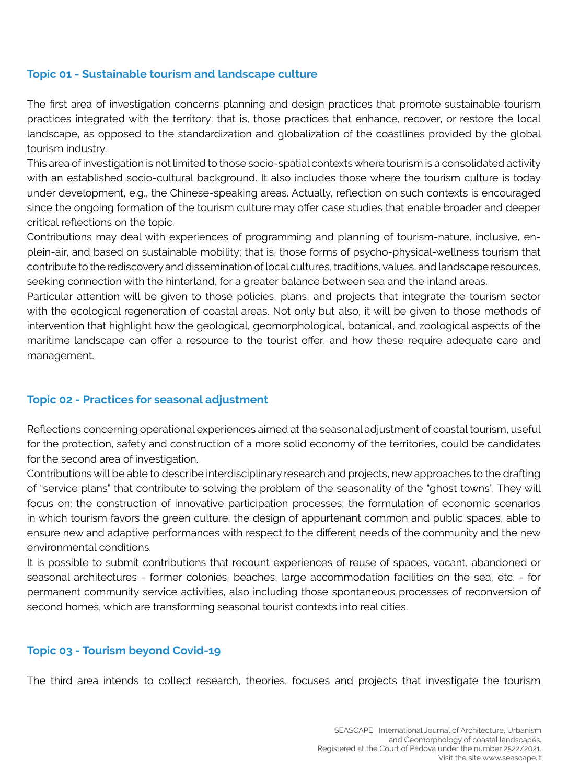## **Topic 01 - Sustainable tourism and landscape culture**

The first area of investigation concerns planning and design practices that promote sustainable tourism practices integrated with the territory: that is, those practices that enhance, recover, or restore the local landscape, as opposed to the standardization and globalization of the coastlines provided by the global tourism industry.

This area of investigation is not limited to those socio-spatial contexts where tourism is a consolidated activity with an established socio-cultural background. It also includes those where the tourism culture is today under development, e.g., the Chinese-speaking areas. Actually, reflection on such contexts is encouraged since the ongoing formation of the tourism culture may offer case studies that enable broader and deeper critical reflections on the topic.

Contributions may deal with experiences of programming and planning of tourism-nature, inclusive, enplein-air, and based on sustainable mobility; that is, those forms of psycho-physical-wellness tourism that contribute to the rediscovery and dissemination of local cultures, traditions, values, and landscape resources, seeking connection with the hinterland, for a greater balance between sea and the inland areas.

Particular attention will be given to those policies, plans, and projects that integrate the tourism sector with the ecological regeneration of coastal areas. Not only but also, it will be given to those methods of intervention that highlight how the geological, geomorphological, botanical, and zoological aspects of the maritime landscape can offer a resource to the tourist offer, and how these require adequate care and management.

### **Topic 02 - Practices for seasonal adjustment**

Reflections concerning operational experiences aimed at the seasonal adjustment of coastal tourism, useful for the protection, safety and construction of a more solid economy of the territories, could be candidates for the second area of investigation.

Contributions will be able to describe interdisciplinary research and projects, new approaches to the drafting of "service plans" that contribute to solving the problem of the seasonality of the "ghost towns". They will focus on: the construction of innovative participation processes; the formulation of economic scenarios in which tourism favors the green culture; the design of appurtenant common and public spaces, able to ensure new and adaptive performances with respect to the different needs of the community and the new environmental conditions.

It is possible to submit contributions that recount experiences of reuse of spaces, vacant, abandoned or seasonal architectures - former colonies, beaches, large accommodation facilities on the sea, etc. - for permanent community service activities, also including those spontaneous processes of reconversion of second homes, which are transforming seasonal tourist contexts into real cities.

### **Topic 03 - Tourism beyond Covid-19**

The third area intends to collect research, theories, focuses and projects that investigate the tourism